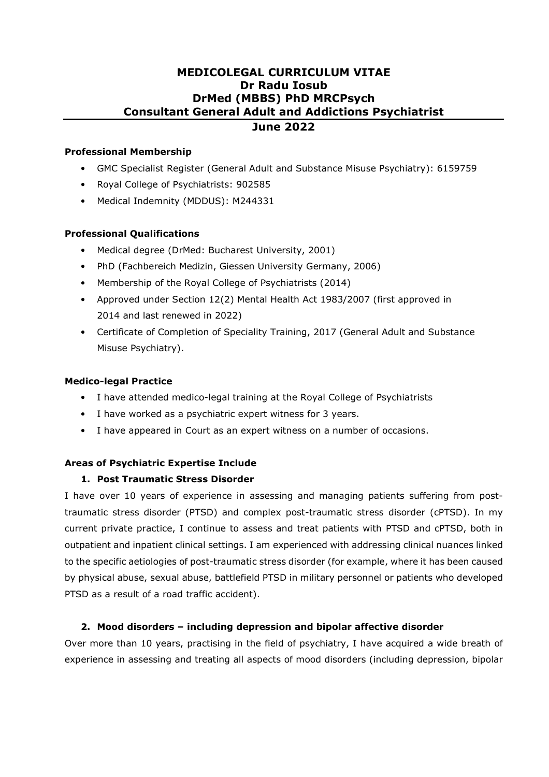#### **Professional Membership**

- GMC Specialist Register (General Adult and Substance Misuse Psychiatry): 6159759
- Royal College of Psychiatrists: 902585
- Medical Indemnity (MDDUS): M244331

## **Professional Qualifications**

- Medical degree (DrMed: Bucharest University, 2001)
- PhD (Fachbereich Medizin, Giessen University Germany, 2006)
- Membership of the Royal College of Psychiatrists (2014)
- Approved under Section 12(2) Mental Health Act 1983/2007 (first approved in 2014 and last renewed in 2022)
- Certificate of Completion of Speciality Training, 2017 (General Adult and Substance Misuse Psychiatry).

## **Medico-legal Practice**

- I have attended medico-legal training at the Royal College of Psychiatrists
- I have worked as a psychiatric expert witness for 3 years.
- I have appeared in Court as an expert witness on a number of occasions.

## **Areas of Psychiatric Expertise Include**

## **1. Post Traumatic Stress Disorder**

I have over 10 years of experience in assessing and managing patients suffering from posttraumatic stress disorder (PTSD) and complex post-traumatic stress disorder (cPTSD). In my current private practice, I continue to assess and treat patients with PTSD and cPTSD, both in outpatient and inpatient clinical settings. I am experienced with addressing clinical nuances linked to the specific aetiologies of post-traumatic stress disorder (for example, where it has been caused by physical abuse, sexual abuse, battlefield PTSD in military personnel or patients who developed PTSD as a result of a road traffic accident).

## **2. Mood disorders – including depression and bipolar affective disorder**

Over more than 10 years, practising in the field of psychiatry, I have acquired a wide breath of experience in assessing and treating all aspects of mood disorders (including depression, bipolar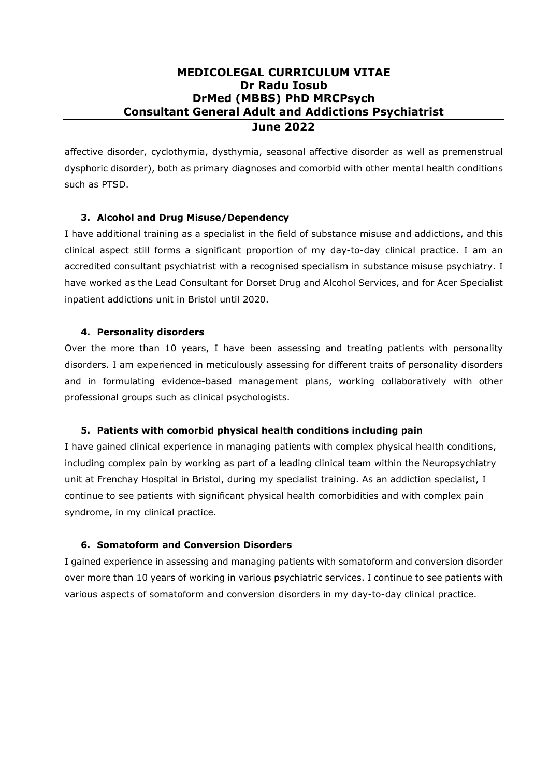affective disorder, cyclothymia, dysthymia, seasonal affective disorder as well as premenstrual dysphoric disorder), both as primary diagnoses and comorbid with other mental health conditions such as PTSD.

## **3. Alcohol and Drug Misuse/Dependency**

I have additional training as a specialist in the field of substance misuse and addictions, and this clinical aspect still forms a significant proportion of my day-to-day clinical practice. I am an accredited consultant psychiatrist with a recognised specialism in substance misuse psychiatry. I have worked as the Lead Consultant for Dorset Drug and Alcohol Services, and for Acer Specialist inpatient addictions unit in Bristol until 2020.

## **4. Personality disorders**

Over the more than 10 years, I have been assessing and treating patients with personality disorders. I am experienced in meticulously assessing for different traits of personality disorders and in formulating evidence-based management plans, working collaboratively with other professional groups such as clinical psychologists.

## **5. Patients with comorbid physical health conditions including pain**

I have gained clinical experience in managing patients with complex physical health conditions, including complex pain by working as part of a leading clinical team within the Neuropsychiatry unit at Frenchay Hospital in Bristol, during my specialist training. As an addiction specialist, I continue to see patients with significant physical health comorbidities and with complex pain syndrome, in my clinical practice.

## **6. Somatoform and Conversion Disorders**

I gained experience in assessing and managing patients with somatoform and conversion disorder over more than 10 years of working in various psychiatric services. I continue to see patients with various aspects of somatoform and conversion disorders in my day-to-day clinical practice.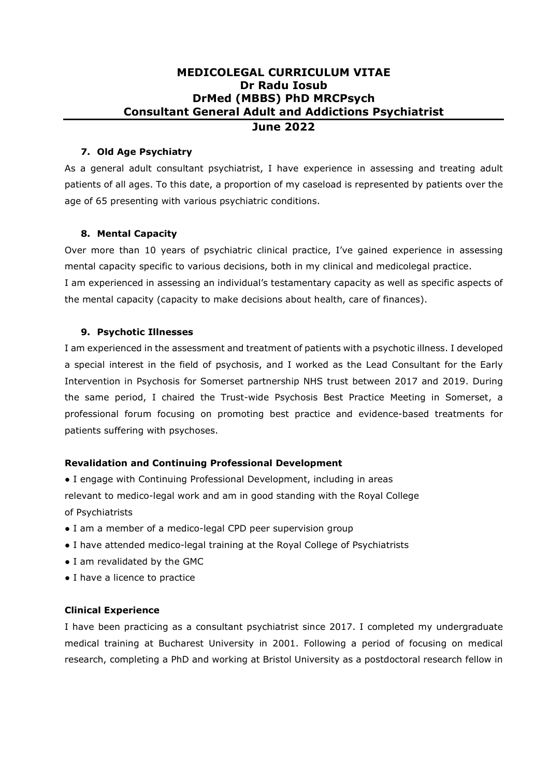#### **7. Old Age Psychiatry**

As a general adult consultant psychiatrist, I have experience in assessing and treating adult patients of all ages. To this date, a proportion of my caseload is represented by patients over the age of 65 presenting with various psychiatric conditions.

## **8. Mental Capacity**

Over more than 10 years of psychiatric clinical practice, I've gained experience in assessing mental capacity specific to various decisions, both in my clinical and medicolegal practice.

I am experienced in assessing an individual's testamentary capacity as well as specific aspects of the mental capacity (capacity to make decisions about health, care of finances).

#### **9. Psychotic Illnesses**

I am experienced in the assessment and treatment of patients with a psychotic illness. I developed a special interest in the field of psychosis, and I worked as the Lead Consultant for the Early Intervention in Psychosis for Somerset partnership NHS trust between 2017 and 2019. During the same period, I chaired the Trust-wide Psychosis Best Practice Meeting in Somerset, a professional forum focusing on promoting best practice and evidence-based treatments for patients suffering with psychoses.

## **Revalidation and Continuing Professional Development**

● I engage with Continuing Professional Development, including in areas relevant to medico-legal work and am in good standing with the Royal College of Psychiatrists

- I am a member of a medico-legal CPD peer supervision group
- I have attended medico-legal training at the Royal College of Psychiatrists
- I am revalidated by the GMC
- I have a licence to practice

## **Clinical Experience**

I have been practicing as a consultant psychiatrist since 2017. I completed my undergraduate medical training at Bucharest University in 2001. Following a period of focusing on medical research, completing a PhD and working at Bristol University as a postdoctoral research fellow in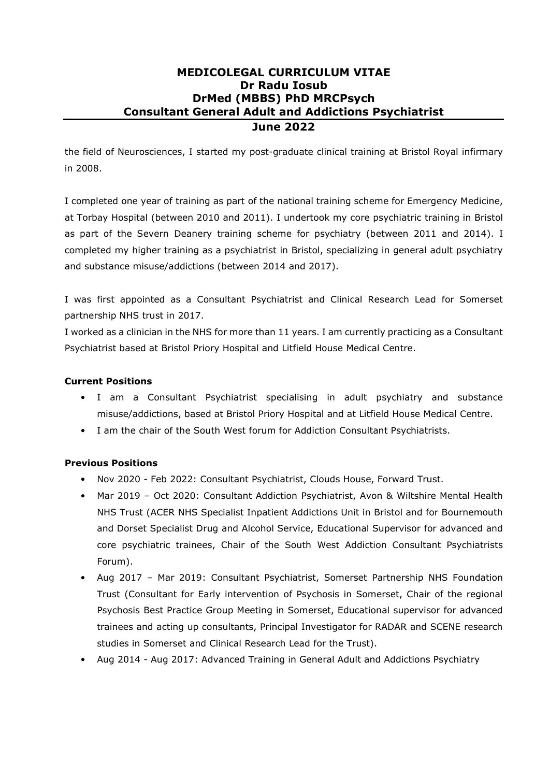the field of Neurosciences, I started my post-graduate clinical training at Bristol Royal infirmary in 2008.

I completed one year of training as part of the national training scheme for Emergency Medicine, at Torbay Hospital (between 2010 and 2011). I undertook my core psychiatric training in Bristol as part of the Severn Deanery training scheme for psychiatry (between 2011 and 2014). I completed my higher training as a psychiatrist in Bristol, specializing in general adult psychiatry and substance misuse/addictions (between 2014 and 2017).

I was first appointed as a Consultant Psychiatrist and Clinical Research Lead for Somerset partnership NHS trust in 2017.

I worked as a clinician in the NHS for more than 11 years. I am currently practicing as a Consultant Psychiatrist based at Bristol Priory Hospital and Litfield House Medical Centre.

## **Current Positions**

- I am a Consultant Psychiatrist specialising in adult psychiatry and substance misuse/addictions, based at Bristol Priory Hospital and at Litfield House Medical Centre.
- I am the chair of the South West forum for Addiction Consultant Psychiatrists.

## **Previous Positions**

- Nov 2020 Feb 2022: Consultant Psychiatrist, Clouds House, Forward Trust.
- Mar 2019 Oct 2020: Consultant Addiction Psychiatrist, Avon & Wiltshire Mental Health NHS Trust (ACER NHS Specialist Inpatient Addictions Unit in Bristol and for Bournemouth and Dorset Specialist Drug and Alcohol Service, Educational Supervisor for advanced and core psychiatric trainees, Chair of the South West Addiction Consultant Psychiatrists Forum).
- Aug 2017 Mar 2019: Consultant Psychiatrist, Somerset Partnership NHS Foundation Trust (Consultant for Early intervention of Psychosis in Somerset, Chair of the regional Psychosis Best Practice Group Meeting in Somerset, Educational supervisor for advanced trainees and acting up consultants, Principal Investigator for RADAR and SCENE research studies in Somerset and Clinical Research Lead for the Trust).
- Aug 2014 Aug 2017: Advanced Training in General Adult and Addictions Psychiatry